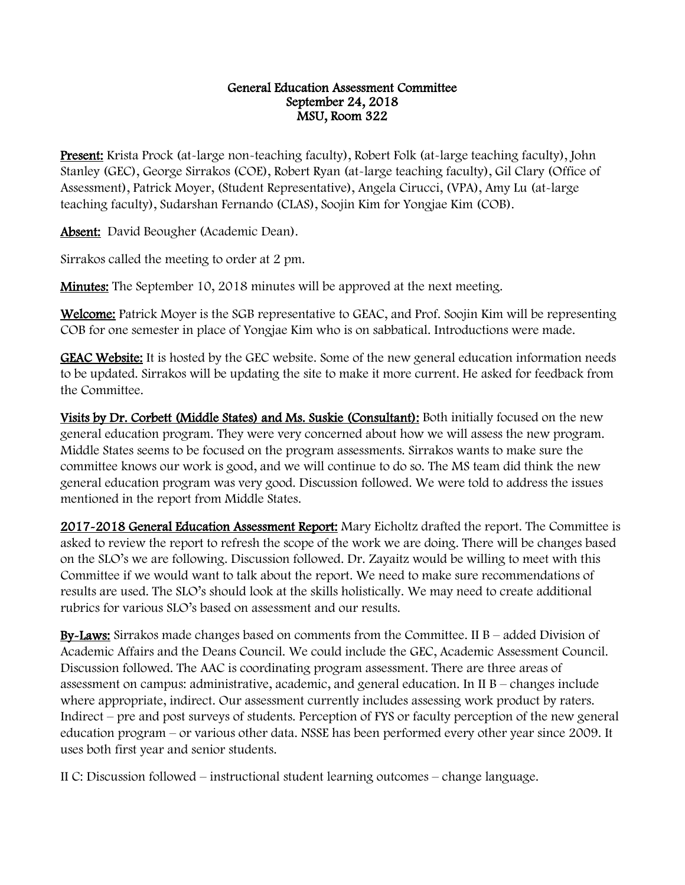## General Education Assessment Committee September 24, 2018 MSU, Room 322

Present: Krista Prock (at-large non-teaching faculty), Robert Folk (at-large teaching faculty), John Stanley (GEC), George Sirrakos (COE), Robert Ryan (at-large teaching faculty), Gil Clary (Office of Assessment), Patrick Moyer, (Student Representative), Angela Cirucci, (VPA), Amy Lu (at-large teaching faculty), Sudarshan Fernando (CLAS), Soojin Kim for Yongjae Kim (COB).

Absent: David Beougher (Academic Dean).

Sirrakos called the meeting to order at 2 pm.

Minutes: The September 10, 2018 minutes will be approved at the next meeting.

Welcome: Patrick Moyer is the SGB representative to GEAC, and Prof. Soojin Kim will be representing COB for one semester in place of Yongjae Kim who is on sabbatical. Introductions were made.

GEAC Website: It is hosted by the GEC website. Some of the new general education information needs to be updated. Sirrakos will be updating the site to make it more current. He asked for feedback from the Committee.

Visits by Dr. Corbett (Middle States) and Ms. Suskie (Consultant): Both initially focused on the new general education program. They were very concerned about how we will assess the new program. Middle States seems to be focused on the program assessments. Sirrakos wants to make sure the committee knows our work is good, and we will continue to do so. The MS team did think the new general education program was very good. Discussion followed. We were told to address the issues mentioned in the report from Middle States.

2017-2018 General Education Assessment Report: Mary Eicholtz drafted the report. The Committee is asked to review the report to refresh the scope of the work we are doing. There will be changes based on the SLO's we are following. Discussion followed. Dr. Zayaitz would be willing to meet with this Committee if we would want to talk about the report. We need to make sure recommendations of results are used. The SLO's should look at the skills holistically. We may need to create additional rubrics for various SLO's based on assessment and our results.

By-Laws: Sirrakos made changes based on comments from the Committee. II  $B -$  added Division of Academic Affairs and the Deans Council. We could include the GEC, Academic Assessment Council. Discussion followed. The AAC is coordinating program assessment. There are three areas of assessment on campus: administrative, academic, and general education. In  $II$  B – changes include where appropriate, indirect. Our assessment currently includes assessing work product by raters. Indirect – pre and post surveys of students. Perception of FYS or faculty perception of the new general education program – or various other data. NSSE has been performed every other year since 2009. It uses both first year and senior students.

II C: Discussion followed – instructional student learning outcomes – change language.